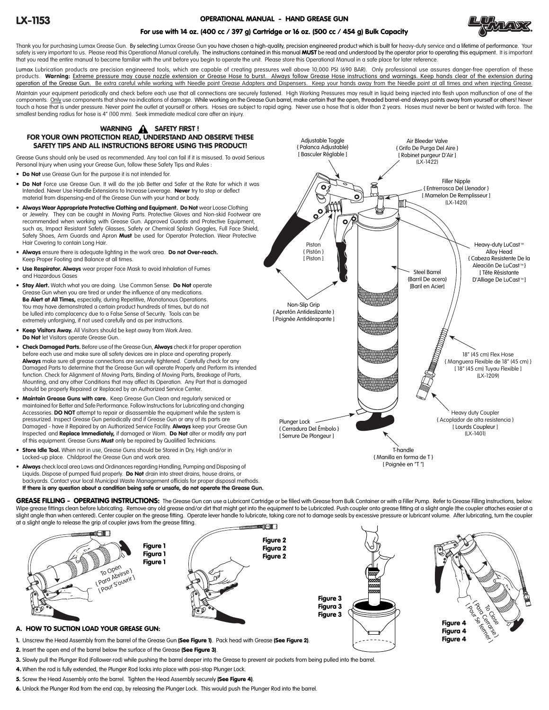# OPERATIONAL MANUAL - HAND GREASE GUN



# For use with 14 oz. (400 cc / 397 g) Cartridge or 16 oz. (500 cc / 454 g) Bulk Capacity

Thank you for purchasing Lumax Grease Gun. By selecting Lumax Grease Gun you have chosen a high-quality, precision engineered product which is built for heavy-duty service and a lifetime of performance. Your safety is very important to us. Please read this Operational Manual carefully. The instructions contained in this manual MUST be read and understood by the operator prior to operating this equipment. It is important that you read the entire manual to become familiar with the unit before you begin to operate the unit. Please store this Operational Manual in a safe place for later reference.

Lumax Lubrication products are precision engineered tools, which are capable of creating pressures well above 10,000 PSI (690 BAR). Only professional use assures danger-free operation of these products. **Warning:** <u>Extreme pressure may cause nozzle extension or Grease Hose to burst. Always follow Grease Hose instructions and warnings. Keep hands clear of the extension during<br>operation of the Grease Gun. Be extra</u> Maintain your equipment periodically and check before each use that all connections are securely fastened. High Working Pressures may result in liquid being injected into flesh upon malfunction of one of the components. Only use components that show no indications of damage. While working on the Grease Gun barrel, make certain that the open, threaded barrel-end always points away from yourself or others! Never touch a hose that is under pressure. Never point the outlet at yourself or others. Hoses are subject to rapid aging. Never use a hose that is older than 2 years. Hoses must never be bent or twisted with force. The smallest bending radius for hose is 4" (100 mm). Seek immediate medical care after an injury.

# WARNING A SAFETY FIRST! FOR YOUR OWN PROTECTION READ, UNDERSTAND AND OBSERVE THESE SAFETY TIPS AND ALL INSTRUCTIONS BEFORE USING THIS PRODUCT!

Grease Guns should only be used as recommended. Any tool can fail if it is misused. To avoid Serious Personal Injury when using your Grease Gun, follow these Safety Tips and Rules :

- Do Not use Grease Gun for the purpose it is not intended for.
- Do Not Force use Grease Gun. It will do the job Better and Safer at the Rate for which it was Intended. Never Use Handle Extensions to Increase Leverage. Never try to stop or deflect material from dispensing-end of the Grease Gun with your hand or body.
- Always Wear Appropriate Protective Clothing and Equipment. Do Not wear Loose Clothing or Jewelry. They can be caught in Moving Parts. Protective Gloves and Non-skid Footwear are recommended when working with Grease Gun. Approved Guards and Protective Equipment, such as, Impact Resistant Safety Glasses, Safety or Chemical Splash Goggles, Full Face Shield, Safety Shoes, Arm Guards and Apron Must be used for Operator Protection. Wear Protective Hair Covering to contain Long Hair.
- Always ensure there is adequate lighting in the work area. Do not Over-reach. Keep Proper Footing and Balance at all times.
- Use Respirator. Always wear proper Face Mask to avoid Inhalation of Fumes and Hazardous Gases
- Stay Alert. Watch what you are doing. Use Common Sense. Do Not operate Grease Gun when you are tired or under the influence of any medications. Be Alert at All Times, especially, during Repetitive, Monotonous Operations. You may have demonstrated a certain product hundreds of times, but do not be lulled into complacency due to a False Sense of Security. Tools can be extremely unforgiving, if not used carefully and as per instructions.
- Keep Visitors Away. All Visitors should be kept away from Work Area. Do Not let Visitors operate Grease Gun.
- Check Damaged Parts. Before use of the Grease Gun, Always check it for proper operation before each use and make sure all safety devices are in place and operating properly. Always make sure all grease connections are securely tightened. Carefully check for any Damaged Parts to determine that the Grease Gun will operate Properly and Perform its intended function. Check for Alignment of Moving Parts, Binding of Moving Parts, Breakage of Parts, Mounting, and any other Conditions that may affect its Operation. Any Part that is damaged should be properly Repaired or Replaced by an Authorized Service Center.
- Maintain Grease Guns with care. Keep Grease Gun Clean and regularly serviced or maintained for Better and Safe Performance. Follow Instructions for Lubricating and changing Accessories. **DO NOT** attempt to repair or disassemble the equipment while the system is pressurized. Inspect Grease Gun periodically and if Grease Gun or any of its parts are Damaged - have it Repaired by an Authorized Service Facility. Always keep your Grease Gun Inspected and Replace Immediately, if damaged or Worn. Do Not alter or modify any part of this equipment. Grease Guns Must only be repaired by Qualified Technicians.
- Store Idle Tool. When not in use, Grease Guns should be Stored in Drv. High and/or in Locked-up place. Childproof the Grease Gun and work area.
- Always check local area Laws and Ordinances regarding Handling, Pumping and Disposing of Liquids. Dispose of pumped fluid properly. **Do Not** drain into street drains, house drains, or backyards. Contact your local Municipal Waste Management officials for proper disposal methods. If there is any question about a condition being safe or unsafe, do not operate the Grease Gun.



Figure 4

GREASE FILLING - OPERATING INSTRUCTIONS: The Grease Gun can use a Lubricant Cartridge or be filled with Grease from Bulk Container or with a Filler Pump. Refer to Grease Filling Instructions, below. Wipe grease fittings clean before lubricating. Remove any old grease and/or dirt that might get into the equipment to be Lubricated. Push coupler onto grease fitting at a slight angle (the coupler attaches easier at a slight angle than when centered). Center coupler on the grease fitting. Operate lever handle to lubricate, taking care not to damage seals by excessive pressure or lubricant volume. After lubricating, turn the coupler at a slight angle to release the grip of coupler jaws from the grease fitting.



- 1. Unscrew the Head Assembly from the barrel of the Grease Gun (See Figure 1). Pack head with Grease (See Figure 2).
- 2. Insert the open end of the barrel below the surface of the Grease (See Figure 3).
- 3. Slowly pull the Plunger Rod (Follower-rod) while pushing the barrel deeper into the Grease to prevent air pockets from being pulled into the barrel.
- 4. When the rod is fully extended, the Plunger Rod locks into place with posi-stop Plunger Lock.
- 5. Screw the Head Assembly onto the barrel. Tighten the Head Assembly securely (See Figure 4).
- 6. Unlock the Plunger Rod from the end cap, by releasing the Plunger Lock. This would push the Plunger Rod into the barrel.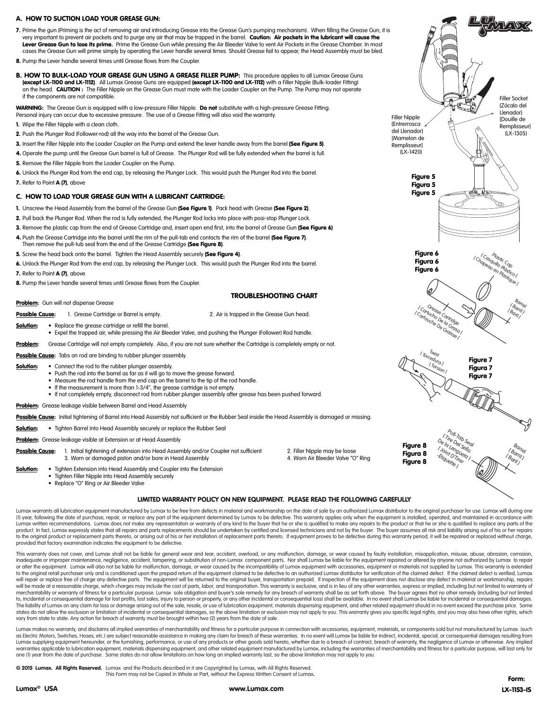# A. HOW TO SUCTION LOAD YOUR GREASE GUN:

- 7. Prime the gun (Priming is the act of removing air and introducing Grease into the Grease Gun's pumping mechanism). When filling the Grease Gun, it is very important to prevent air pockets and to purge any air that may be trapped in the barrel. Caution: Air pockets in the lubricant will cause the Lever Grease Gun to lose its prime. Prime the Grease Gun while pressing the Air Bleeder Valve to vent Air Pockets in the Grease Chamber. In most cases the Grease Gun will prime simply by operating the Lever handle several times. Should Grease fail to appear, the Head Assembly must be bled.
- 8. Pump the Lever handle several times until Grease flows from the Coupler.
- B. HOW TO BULK-LOAD YOUR GREASE GUN USING A GREASE FILLER PUMP: This procedure applies to all Lumax Grease Guns (except LX-1100 and LX-1112). All Lumax Grease Guns are equipped (except LX-1100 and LX-1112) with a Filler Nipple (Bulk-loader Fitting) on the head. CAUTION : The Filler Nipple on the Grease Gun must mate with the Loader Coupler on the Pump. The Pump may not operate if the components are not compatible.

WARNING: The Grease Gun is equipped with a low-pressure Filler Nipple. Do not substitute with a high-pressure Grease Fitting. Personal injury can occur due to excessive pressure. The use of a Grease Fitting will also void the warranty.

- 1. Wipe the Filler Nipple with a clean cloth.
- 2. Push the Plunger Rod (Follower-rod) all the way into the barrel of the Grease Gun.
- 3. Insert the Filler Nipple into the Loader Coupler on the Pump and extend the lever handle away from the barrel (See Figure 5).
- 4. Operate the pump until the Grease Gun barrel is full of Grease. The Plunger Rod will be fully extended when the barrel is full.
- 5. Remove the Filler Nipple from the Loader Coupler on the Pump.
- 6. Unlock the Plunger Rod from the end cap, by releasing the Plunger Lock. This would push the Plunger Rod into the barrel.
- 7. Refer to Point A (7), above

# C. HOW TO LOAD YOUR GREASE GUN WITH A LUBRICANT CARTRIDGE:

- 1. Unscrew the Head Assembly from the barrel of the Grease Gun (See Figure 1). Pack head with Grease (See Figure 2).
- 2. Pull back the Plunger Rod. When the rod is fully extended, the Plunger Rod locks into place with posi-stop Plunger Lock.
- 3. Remove the plastic cap from the end of Grease Cartridge and, insert open end first, into the barrel of Grease Gun (See Figure 6)
- 4. Push the Grease Cartridge into the barrel until the rim of the pull-tab end contacts the rim of the barrel (See Figure 7). Then remove the pull-tub seal from the end of the Grease Cartridge (See Figure 8).
- 5. Screw the head back onto the barrel. Tighten the Head Assembly securely (See Figure 4).

6. Unlock the Plunger Rod from the end cap, by releasing the Plunger Lock. This would push the Plunger Rod into the barrel. 7. Refer to Point **A (7)**, above

8. Pump the Lever handle several times until Grease flows from the Coupler.

#### TROUBLESHOOTING CHART

Problem: Gun will not dispense Grease

Possible Cause: 1. Grease Cartridge or Barrel is empty. 2. Air is trapped in the Grease Gun head.

Solution: • Replace the grease cartridge or refill the barrel.

• Expel the trapped air, while pressing the Air Bleeder Valve, and pushing the Plunger (Follower) Rod handle.

Problem: Grease Cartridge will not empty completely. Also, if you are not sure whether the Cartridge is completely empty or not.

Possible Cause: Tabs on rod are binding to rubber plunger assembly.

- Solution: Connect the rod to the rubber plunger assembly.
	- Push the rod into the barrel as far as it will go to move the grease forward.
	- Measure the rod handle from the end cap on the barrel to the tip of the rod handle.
	- If the measurement is more than 1-3/4", the grease cartridge is not empty.
	- If not completely empty, disconnect rod from rubber plunger assembly after grease has been pushed forward.

Problem: Grease leakage visible between Barrel and Head Assembly

Possible Cause: Initial tightening of Barrel into Head Assembly not sufficient or the Rubber Seal inside the Head Assembly is damaged or missing.

- Solution: Tighten Barrel into Head Assembly securely or replace the Rubber Seal
- Problem: Grease leakage visible at Extension or at Head Assembly
- Possible Cause: 1. Initial tightening of extension into Head Assembly and/or Coupler not sufficient 2. Filler Nipple may be loose<br>3. Worn or damaged piston and/or bore in Head Assembly 3. Worn Air Bleeder Valve "O" Rina به 3. Worn or damaged piston and/or bore in Head Assembly
- Solution: Tighten Extension into Head Assembly and Coupler into the Extension
	- Tighten Filler Nipple into Head Assembly securely
	- Replace "O" Ring or Air Bleeder Valve



# LIMITED WARRANTY POLICY ON NEW EQUIPMENT. PLEASE READ THE FOLLOWING CAREFULLY

Lumax warrants all lubrication equipment manufactured by Lumax to be free from defects in material and workmanship on the date of sale by an authorized Lumax distributor to the original purchaser for use. Lumax will during (1) year, following the date of purchase, repair, or replace any part of the equipment determined by Lumax to be defective. This warranty applies only when the equipment is installed, operated, and maintained in accordance product. In fact, Lumax expressly states that all repairs and parts replacements should be undertaken by certified and licensed technicians and not by the buyer. The buyer assumes all risk and liability arising out of his to the original product or replacement parts thereto, or arising out of his or her installation of replacement parts thereto. If equipment proves to be defective during this warranty period, it will be repaired or replaced provided that factory examination indicates the equipment to be defective.

This warranty does not cover, and Lumax shall not be liable for general wear and tear, accident, overload, or any malfunction, damage, or wear caused by faulty installation, misapplication, misuse, abuse, abrasion, corrosi inadequate or improper maintenance, negligence, accident, tampering, or substitution of non-Lumax component parts. Nor shall Lumax be liable for the equipment repaired or altered by anyone not authorized by Lumax to repair or alter the equipment. Lumax will also not be liable for malfunction, damage, or wear caused by the incompatibility of Lumax equipment with accessories, equipment or materials not supplied by Lumax. This warranty is exten to the original retail purchaser only and is conditioned upon the prepaid return of the equipment claimed to be defective to an authorized Lumax distributor for verification of the claimed defect. If the claimed defect is will repair or replace free of charge any defective parts. The equipment will be returned to the original buyer, transportation prepaid. If inspection of the equipment does not disclose any defect in material or workmanshi will be made at a reasonable charge, which charges may include the cost of parts, labor, and transportation. This warranty is exclusive, and is in lieu of any other warranties, express or implied, including but not limited merchantability or warranty of fitness for a particular purpose. Lumax sole obligation and buyer's sole remedy for any breach of warranty shall be as set forth above. The buyer garees that no other remedy lincluding but no to, incidental or consequential damage for lost profits, lost sales, injury to person or property, or any other incidental or consequential loss) shall be available. In no event shall Lumax be liable for incidental or cons The liability of Lumax on any claim for loss or damage arising out of the sale, resale, or use of lubrication equipment, materials dispensing equipment, and other related equipment should in no event exceed the purchase pr states do not allow the exclusion or limitation of incidental or consequential damages, so the above limitation or exclusion may not apply to you. This warranty gives you specific legal rights, and you may also have other vary from state to state. Any action for breach of warranty must be brought within two (2) years from the date of sale.

Lumax makes no warranty, and disclaims all implied warranties of merchantability and fitness for a particular purpose in connection with accessories, equipment, materials, or components sold but not manufactured by Lumax ( as Electric Motors, Switches, Hoses, etc.) are subject reasonable assistance in making any claim for breach of these warranties. In no event will Lumax be liable for indirect, incidental, special, or consequential damages Lumax supplying equipment hereunder, or the furnishing, performance, or use of any products or other goods sold hereto, whether due to a breach of contract, breach of warranty, the negligence of Lumax or otherwise. Any imp warranties applicable to lubrication equipment, materials dispensing equipment, and other related equipment manufactured by Lumax, including the warranties of merchantability and fitness for a particular purpose, will last one (1) year from the date of purchase. Some states do not allow limitations on how long an implied warranty last, so the above limitation may not apply to you.

© 2015 Lumax. All Rights Reserved. Lumax and the Products described in it are Copyrighted by Lumax, with All Rights Reserved. This Form may not be Copied in Whole or Part, without the Express Written Consent of Lumax.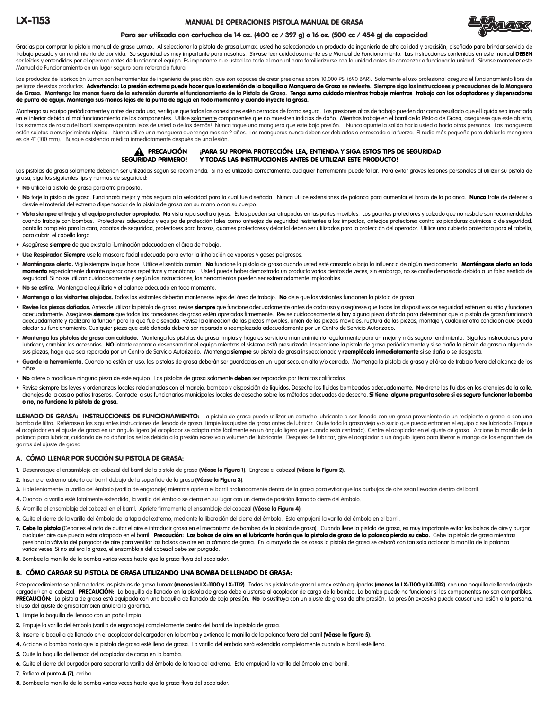#### MANUAL DE OPERACIONES PISTOLA MANUAL DE GRASA



# Para ser utilizada con cartuchos de 14 oz. (400 cc / 397 g) o 16 oz. (500 cc / 454 g) de capacidad

Gracias por comprar la pistola manual de grasa Lumax. Al seleccionar la pistola de grasa Lumax, usted ha seleccionado un producto de ingeniería de alta calidad y precisión, diseñado para brindar servicio de trabajo pesado y un rendimiento de por vida. Su seguridad es muy importante para nosotros. Sírvase leer cuidadosamente este Manual de Funcionamiento. Las instrucciones contenidas en este manual DEBEN ser leídas y entendidas por el operario antes de funcionar el equipo. Es importante que usted lea todo el manual para familiarizarse con la unidad antes de comenzar a funcionar la unidad. Sírvase mantener este Manual de Funcionamiento en un lugar seguro para referencia futura.

Los productos de lubricación Lumax son herramientas de ingeniería de precisión, que son capaces de crear presiones sobre 10.000 PSI (690 BAR). Solamente el uso profesional asegura el funcionamiento libre de peligros de estos productos. Advertencia: La presión extrema puede hacer que la extensión de la boquilla o Manguera de Grasa se reviente. Siempre siga las instrucciones y precauciones de la Manguera de Grasa. Mantenga las manos fuera de la extensión durante el funcionamiento de la Pistola de Grasa. <u>Tenga sumo cuidado mientras trabaje mientras trabaja con los adaptadores y dispensadores</u> de punta de aguja. Mantenga sus manos lejos de la punta de aguja en todo momento y cuando inyecte la grasa.

Mantenga su equipo periódicamente y antes de cada uso, verifique que todas las conexiones estén cerrados de forma segura. Las presiones altas de trabajo pueden dar como resultado que el liquido sea inyectado en el interior debido al mal funcionamiento de los componentes. Utilice solamente componentes que no muestren indicios de daño. Mientras trabaje en el barril de la Pistola de Grasa, asegúrese que este abierto, los extremos de rosca del barril siempre apuntan lejos de usted o de los demás! Nunca toque una manguera que este bajo presión. Nunca apunte la salida hacia usted o hacia otras personas. Las mangueras están sujetas a envejecimiento rápido. Nunca utilice una manguera que tenga mas de 2 años. Las mangueras nunca deben ser dobladas o enroscada a la fuerza. El radio más pequeño para doblar la manguera es de 4" (100 mm). Busque asistencia médica inmediatamente después de una lesión.



# **A PRECAUCIÓN iPARA SU PROPIA PROTECCIÓN: LEA, ENTIENDA Y SIGA ESTOS TIPS DE SEGURIDAD<br>SEGURIDAD PRIMERO! Y TODAS LAS INSTRUCCIONES ANTES DE UTILIZAR ESTE PRODUCTO!** Y TODAS LAS INSTRUCCIONES ANTES DE UTILIZAR ESTE PRODUCTO!

Las pistolas de grasa solamente deberían ser utilizadas según se recomienda. Si no es utilizada correctamente, cualquier herramienta puede fallar. Para evitar graves lesiones personales al utilizar su pistola de grasa, siga los siguientes tips y normas de seguridad:

• No utilice la pistola de grasa para otro propósito.

- · No forje la pistola de grasa. Funcionará mejor y más segura a la velocidad para la cual fue diseñada. Nunca utilice extensiones de palanca para aumentar el brazo de la palanca. Nunca trate de detener o desvíe el material del extremo dispensador de la pistola de grasa con su mano o con su cuerpo.
- · Vista siempre el traje y el equipo protector apropiado. No vista ropa suelta o joyas. Éstas pueden ser atrapadas en las partes movibles. Los guantes protectores y calzado que no resbale son recomendables cuando trabaje con bombas. Protectores adecuados y equipo de protección tales como anteojos de seguridad resistentes a los impactos, anteojos protectores contra salpicaduras químicas o de seguridad, pantalla completa para la cara, zapatos de seguridad, protectores para brazos, guantes protectores y delantal deben ser utilizados para la protección del operador. Utilice una cubierta protectora para el cabello, para cubrir el cabello largo.
- Asegúrese siempre de que exista la iluminación adecuada en el área de trabajo.
- Use Respirador. Siempre use la mascara facial adecuada para evitar la inhalación de vapores y gases peligrosos.
- · Manténgase alerta. Vigile siempre lo que hace. Utilice el sentido común. No funcione la pistola de grasa cuando usted esté cansado o bajo la influencia de algún medicamento. Manténgase alerta en todo momento especialmente durante operaciones repetitivas y monótonas. Usted puede haber demostrado un producto varios cientos de veces, sin embargo, no se confie demasiado debido a un falso sentido de seguridad. Si no se utilizan cuidadosamente y según las instrucciones, las herramientas pueden ser extremadamente implacables.
- No se estire. Mantenga el equilibrio y el balance adecuado en todo momento.
- Mantenga a los visitantes alejados. Todos los visitantes deberán mantenerse lejos del área de trabajo. No deje que los visitantes funcionen la pistola de grasa.
- · Revise las piezas dañadas. Antes de utilizar la pistola de grasa, revise siempre que funcione adecuadamente antes de cada uso y asegúrese que todos los dispositivos de seguridad estén en su sitio y funcionen adecuadamente. Asegúrese siempre que todas las conexiones de grasa estén apretadas firmemente. Revise cuidadosamente si hay alguna pieza dañada para determinar que la pistola de grasa funcionará adecuadamente y realizará la función para la que fue diseñada. Revise la alineación de las piezas movibles, movibles, ruptura de las piezas, montaje y cualquier otra condición que pueda afectar su funcionamiento. Cualquier pieza que esté dañada deberá ser reparada o reemplazada adecuadamente por un Centro de Servicio Autorizado.
- · Mantenga las pistolas de grasa con cuidado. Mantenga las pistolas de grasa limpias y hágales servicio o mantenimiento regularmente para un mejor y más seguro rendimiento. Siga las instrucciones para lubricar y cambiar los accesorios. NO intente reparar o desensamblar el equipo mientras el sistema está presurizado. Inspeccione la pistola de grasa periódicamente y si se daña la pistola de grasa o alguna de sus piezas, haga que sea reparada por un Centro de Servicio Autorizado. Mantenga siempre su pistola de grasa inspeccionada y reemplácela inmediatamente si se daña o se desgasta.
- · Guarde la herramienta. Cuando no estén en uso, las pistolas de grasa deberán ser guardadas en un lugar seco, en alto y/o cerrado. Mantenga la pistola de grasa y el área de trabajo fuera del alcance de los niños.
- No altere o modifique ninguna pieza de este equipo. Las pistolas de grasa solamente deben ser reparadas por técnicos calificados.
- Revise siempre las leyes y ordenanzas locales relacionadas con el manejo, bombeo y disposición de líquidos. Deseche los fluidos bombeados adecuadamente. No drene los fluidos en los drenajes de la calle, drenajes de la casa o patios traseros. Contacte a sus funcionarios municipales locales de desecho sobre los métodos adecuados de desecho. Si tiene alguna pregunta sobre si es seguro funcionar la bomba o no, no funcione la pistola de grasa.

LLENADO DE GRASA: INSTRUCCIONES DE FUNCIONAMIENTO: La pistola de grasa puede utilizar un cartucho lubricante o ser llenado con un grasa proveniente de un recipiente a granel o con una bomba de filtro. Refiérase a las siguientes instrucciones de llenado de grasa. Limpie los ajustes de grasa antes de lubricar. Quite toda la grasa vieja y/o sucio que pueda entrar en el equipo a ser lubricado. Empuje el acoplador en el ajuste de grasa en un ángulo ligero (el acoplador se adapta más fácilmente en un ángulo ligero que cuando está centrado). Centre el acoplador en el ajuste de grasa. Accione la manilla de la palanca para lubricar, cuidando de no dañar los sellos debido a la presión excesiva o volumen del lubricante. Después de lubricar, gire el acoplador a un ángulo ligero para liberar el mango de los enganches de garras del ajuste de grasa.

# A. CÓMO LLENAR POR SUCCIÓN SU PISTOLA DE GRASA:

- 1. Desenrosque el ensamblaje del cabezal del barril de la pistola de grasa (Véase la Figura 1). Engrase el cabezal (Véase la Figura 2).
- 2. Inserte el extremo abierto del barril debajo de la superficie de la grasa (Véase la Figura 3).
- 3. Hale lentamente la varilla del émbolo (varilla de engranaje) mientras aprieta el barril profundamente dentro de la grasa para evitar que las burbujas de aire sean llevadas dentro del barril.
- 4. Cuando la varilla esté totalmente extendida, la varilla del émbolo se cierra en su lugar con un cierre de posición llamado cierre del émbolo.
- 5. Atornille el ensamblaje del cabezal en el barril. Apriete firmemente el ensamblaje del cabezal (Véase la Figura 4).
- 6. Quite el cierre de la varilla del émbolo de la tapa del extremo, mediante la liberación del cierre del émbolo. Esto empujará la varilla del émbolo en el barril.
- 7. Cebe la pistola (Cebar es el acto de quitar el aire e introducir grasa en el mecanismo de bombeo de la pistola de grasa). Cuando llene la pistola de grasa, es muy importante evitar las bolsas de gire y purgar cualquier aire que pueda estar atrapado en el barril. Precaución: Las bolsas de aire en el lubricante harán que la pistola de grasa de la palanca pierda su cebo. Cebe la pistola de grasa mientras presiona la válvula del purgador de aire para ventilar las bolsas de aire en la cámara de grasa. En la mayoría de los casos la pistola de grasa se cebará con tan solo accionar la manilla de la palanca varias veces. Si no saliera la grasa, el ensamblaje del cabezal debe ser purgado.
- 8. Bombee la manilla de la bomba varias veces hasta que la grasa fluya del acoplador.

#### B. CÓMO CARGAR SU PISTOLA DE GRASA UTILIZANDO UNA BOMBA DE LLENADO DE GRASA:

Este procedimiento se aplica a todas las pistolas de grasa Lumax (menos la LX-1100 y LX-1112). Todas las pistolas de grasa Lumax están equipadas (menos la LX-1100 y LX-1112) con una boquilla de llenado (ajuste cargador) en el cabezal. PRECAUCIÓN: La boquilla de llenado en la pistola de grasa debe ajustarse al acoplador de carga de la bomba. La bomba puede no funcionar si los componentes no son compatibles. PRECAUCIÓN: La pistola de grasa está equipada con una boquilla de llenado de baja presión. No lo sustituya con un ajuste de grasa de alta presión. La presión excesiva puede causar una lesión a la persona. El uso del ajuste de grasa también anulará la garantía.

- 1. Limpie la boquilla de llenado con un paño limpio.
- 2. Empuje la varilla del émbolo (varilla de engranaje) completamente dentro del barril de la pistola de grasa.
- 3. Inserte la boquilla de llenado en el acoplador del cargador en la bomba y extienda la manilla de la palanca fuera del barril (Véase la figura 5).
- 4. Accione la bomba hasta que la pistola de grasa esté llena de grasa. La varilla del émbolo será extendida completamente cuando el barril esté lleno.
- 5. Quite la boquilla de llenado del acoplador de carga en la bomba.
- 6. Quite el cierre del purgador para separar la varilla del émbolo de la tapa del extremo. Esto empujará la varilla del émbolo en el barril.
- 7. Refiera al punto A (7), arriba
- 8. Bombee la manilla de la bomba varias veces hasta que la grasa fluya del acoplador.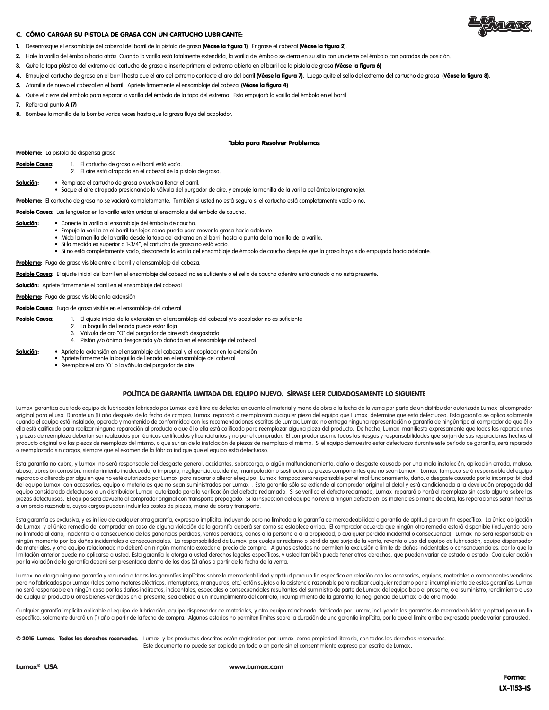

#### C. CÓMO CARGAR SU PISTOLA DE GRASA CON UN CARTUCHO LUBRICANTE:

- 1. Desenrosque el ensamblaje del cabezal del barril de la pistola de grasa (Véase la figura 1). Engrase el cabezal (Véase la figura 2).
- 2. Hale la varilla del émbolo hacia atrás. Cuando la varilla está totalmente extendida, la varilla del émbolo se cierra en su sitio con un cierre del émbolo con paradas de posición.
- 3. Quite la tapa plástica del extremo del cartucho de grasa e inserte primero el extremo abierto en el barril de la pistola de grasa (Véase la figura 6)
- 4. Empuje el cartucho de grasa en el barril hasta que el aro del extremo contacte el aro del barril (Véase la figura 7). Luego quite el sello del extremo del cartucho de grasa (Véase la figura 8).
- 5. Atornille de nuevo el cabezal en el barril. Apriete firmemente el ensamblaje del cabezal (Véase la figura 4).
- 6. Quite el cierre del émbolo para separar la varilla del émbolo de la tapa del extremo. Esto empujará la varilla del émbolo en el barril.
- 7. Refiera al punto A (7)
- 8. Bombee la manilla de la bomba varias veces hasta que la grasa fluva del acoplador.

#### Tabla para Resolver Problemas

Problema: La pistola de dispensa grasa

- Posible Causa: 1. El cartucho de grasa o el barril está vacío 2. El aire está atrapado en el cabezal de la pistola de grasa.
- Solución: Remplace el cartucho de grasa o vuelva a llenar el barril.
- Saque el aire atrapado presionando la válvula del purgador de aire, y empuje la manilla de la varilla del émbolo (engranaje).

Problema: El cartucho de grasa no se vaciará completamente. También si usted no está seguro si el cartucho está completamente vacío o no.

Posible Causa: Las lengüetas en la varilla están unidas al ensamblaje del émbolo de caucho.

- Solución: Conecte la varilla al ensamblaje del émbolo de caucho.
	- Empuje la varilla en el barril tan lejos como pueda para mover la grasa hacia adelante.
		- Mida la manilla de la varilla desde la tapa del extremo en el barril hasta la punta de la manilla de la varilla.
		- Si la medida es superior a 1-3/4", el cartucho de grasa no está vacío.
		- Si no está completamente vacío, desconecte la varilla del ensamblaje de émbolo de caucho después que la grasa haya sido empujada hacia adelante.
- Problema: Fuga de grasa visible entre el barril y el ensamblaje del cabeza.

Posible Causa: El ajuste inicial del barril en el ensamblaje del cabezal no es suficiente o el sello de caucho adentro está dañado o no está presente.

Solución: Apriete firmemente el barril en el ensamblaje del cabezal

Problema: Fuga de grasa visible en la extensión

Posible Causa: Fuga de grasa visible en el ensamblaje del cabezal

- Posible Causa: 1. El ajuste inicial de la extensión en el ensamblaje del cabezal y/o acoplador no es suficiente
	- 2. La boquilla de llenado puede estar floja
	- 3. Válvula de aro "O" del purgador de aire está desgastado
	- 4. Pistón y/o ánima desgastada y/o dañada en el ensamblaje del cabezal
- Solución: · · Apriete la extensión en el ensamblaje del cabezal y el acoplador en la extensión
	- Apriete firmemente la boquilla de llenado en el ensamblaje del cabezal • Reemplace el aro "O" o la válvula del purgador de aire
		-

# POLÍTICA DE GARANTÍA LIMITADA DEL EQUIPO NUEVO. SÍRVASE LEER CUIDADOSAMENTE LO SIGUIENTE

Lumax garantiza que todo equipo de lubricación fabricado por Lumax esté libre de defectos en cuanto al material y mano de obra a la fecha de la venta por parte de un distribuidor autorizado Lumax al comprador original para el uso. Durante un (1) año después de la fecha de compra, Lumax reparará o reemplazará cualquier pieza del equipo que Lumax determine que está defectuosa. Esta garantía se aplica solamente cuando el equipo está instalado, operado y mantenido de conformidad con las recomendaciones escritas de Lumax. Lumax no entrega ninguna representación o garantía de ningún tipo al comprador de que él o ella está calificado para realizar ninguna reparación al producto o que él o ella está calificado para reemplazar alguna pieza del producto. De hecho, Lumax manifiesta expresamente que todas las reparaciones y piezas de reemplazo deberían ser realizados por técnicos certificados y licenciatarios y no por el comprador. El comprador asume todos los riesgos y responsabilidades que surjan de sus reparaciones hechas al producto original o a las piezas de reemplazo del mismo, o que surjan de la instalación de piezas de reemplazo al mismo. Si el equipo demuestra estar defectuoso durante este período de garantía, será reparado o reemplazado sin cargos, siempre que el examen de la fábrica indique que el equipo está defectuoso.

Esta garantía no cubre, y Lumax no será responsable del desgaste general, accidentes, sobrecarga, o algún malfuncionamiento, daño o desgaste causado por una mala instalación, aplicación errada, maluso, abuso, abrasión corrosión, mantenimiento inadecuado, o impropio, negligencia, accidente, manipulación o sustitución de piezas componentes que no sean Lumax . Lumax tampoco será responsable del equipo reparado o alterado por alguien que no esté autorizado por Lumax para reparar o alterar el equipo. Lumax tampoco será responsable por el mal funcionamiento, daño, o desgaste causado por la incompatibilidad del equipo Lumax con accesorios, equipo o materiales que no sean suministrados por Lumax . Esta garantía sólo se extiende al comprador original al detal y está condicionada a la devolución prepagada del equipo considerado defectuoso a un distribuidor Lumax autorizado para la verificación del defecto reclamado. Si se verifica el defecto reclamado, Lumax reparará o hará el reemplazo sin costo alguno sobre las piezas defectuosas. El equipo será devuelto al comprador original con transporte prepagado. Si la inspección del equipo no revela ningún defecto en los materiales o mano de obra, las reparaciones serán hechas a un precio razonable, cuyos cargos pueden incluir los costos de piezas, mano de obra y transporte.

Esta garantía es exclusiva, y es in lieu de cualquier otra garantía, expresa o implícita, incluyendo pero no limitada a la garantía de mercadeabilidad o garantía de aptitud para un fin específico. La única obligación de Lumax y el único remedio del comprador en caso de alguna violación de la garantía deberá ser como se establece arriba. El comprador acuerda que ningún otro remedio estará disponible (incluyendo pero no limitado al daño, incidental o a consecuencia de las ganancias perdidas, ventas perdidas, daños a la persona o a la propiedad, o cualquier pérdida incidental o consecuencia). Lumax no será responsable en ningún momento por los daños incidentales o consecuenciales. La responsabilidad de Lumax por cualquier reclamo o pérdida que surja de la venta, reventa o uso del equipo de lubricación, equipo dispensador de materiales, y otro equipo relacionado no deberá en ningún momento exceder el precio de compra. Algunos estados no permiten la exclusión o límite de daños incidentales o consencuenciales, por lo que la<br>limitación anterio por la violación de la garantía deberá ser presentada dentro de los dos (2) años a partir de la fecha de la venta.

Lumax no otorga ninguna garantía y renuncia a todas las garantías implícitas sobre la mercadeabilidad y aptitud para un fin especifico en relación con los accesorios, equipos, materiales o componentes vendidos pero no fabricados por Lumax (tales como motores eléctricos, interruptores, mangueras, etc.) están sujetos a la asistencia razonable para realizar cualquier reclamo por el incumplimiento de estas agrantías. Lumax no será responsable en ningún caso por los daños indirectos, incidentales, especiales o consecuenciales resultantes del suministro de parte de Lumax del equipo bajo el presente, o el suministro, rendimiento o uso de cualquier producto u otros bienes vendidos en el presente, sea debido a un incumplimiento del contrato, incumplimiento de la garantía, la negligencia de Lumax o de otro modo.

Cualquier garantía implícita aplicable al equipo de lubricación, equipo dispensador de materiales, y otro equipo relacionado fabricado por Lumax, incluyendo las garantías de mercadeabilidad y aptitud para un fin específico, solamente durará un (1) año a partir de la fecha de compra. Algunos estados no permiten límites sobre la duración de una garantía implícita, por lo que el limite arriba expresado puede variar para usted.

© 2015 Lumax. Todos los derechos reservados. Lumax y los productos descritos están registrados por Lumax como propiedad literaria, con todos los derechos reservados. Este documento no puede ser copiado en todo o en parte sin el consentimiento expreso por escrito de Lumax .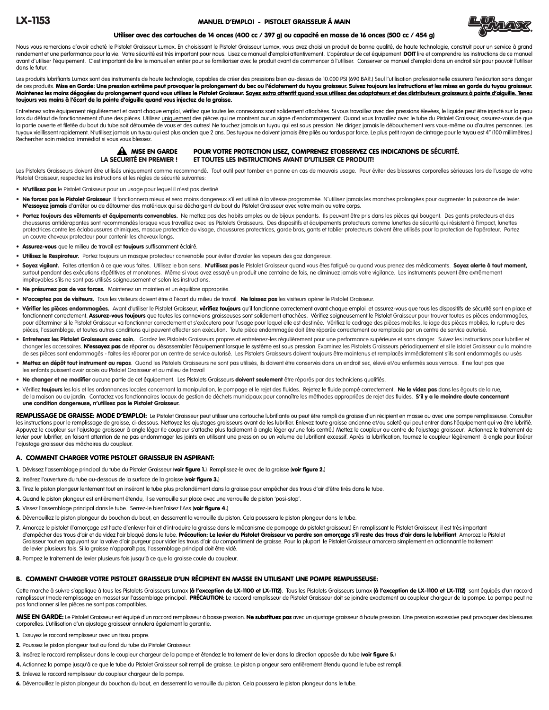#### MANUEL D'EMPLOI - PISTOLET GRAISSEUR Á MAIN



#### Utiliser avec des cartouches de 14 onces (400 cc / 397 g) ou capacité en masse de 16 onces (500 cc / 454 g)

Nous vous remercions d'avoir acheté le Pistolet Graisseur Lumax. En choisissant le Pistolet Graisseur Lumax, vous avez choisi un produit de bonne qualité, de haute technologie, construit pour un service à grand rendement et une performance pour la vie. Votre sécurité est très important pour nous. Lisez ce manuel d'emploi attentivement. L'opérateur de cet équipement DOIT lire et comprendre les instructions de ce manuel avant d'utiliser l'équipement. C'est important de lire le manuel en entier pour se familiariser avec le produit avant de commencer à l'utiliser. Conserver ce manuel d'emploi dans un endroit sûr pour pouvoir l'utiliser dans le futur.

Les produits lubrifiants Lumax sont des instruments de haute technologie, capables de créer des pressions bien au-dessus de 10.000 PSI (690 BAR.) Seul l'utilisation professionnelle assurera l'exécution sans danger de ces produits. Mise en Garde: Une pression extrême peut provoquer le prolongement du bec ou l'éclatement du tuyau graisseur. Suivez toujours les instructions et les mises en garde du tuyau graisseur. Maintenez les mains dégagées du prolongement quand vous utilisez le Pistolet Graisseur. <u>Soyez extra attentif quand vous utilisez des adaptateurs et des distributeurs graisseurs à pointe d'aiguille. Tenez</u> toujours vos mains à l'écart de la pointe d'aiguille quand vous injectez de la graisse.

Entretenez votre équipement régulièrement et avant chaque emploi, vérifiez que toutes les connexions sont solidement attachées. Si vous travaillez avec des pressions élevées, le liquide peut être injecté sur la peau lors du défaut de fonctionnement d'une des pièces. Utilisez uniquement des pièces qui ne montrent aucun signe d'endommagement. Quand vous travaillez avec le tube du Pistolet Graisseur, assurez-vous de que la partie ouverte et filetée du bout du tube soit détournée de vous et des autres! Ne touchez jamais un tuyau qui est sous pression. Ne dirigez jamais le débouchement vers vous-même ou d'autres personnes. Les tuyaux vieillissent rapidement. N'utilisez jamais un tuyau qui est plus ancien que 2 ans. Des tuyaux ne doivent jamais être pliés ou tordus par force. Le plus petit rayon de cintrage pour le tuyau est 4" (100 millimètres.) Rechercher soin médical immédiat si vous vous blessez.

# A MISE EN GARDE

# POUR VOTRE PROTECTION LISEZ, COMPRENEZ ETOBSERVEZ CES INDICATIONS DE SÉCURITÉ. LA SECURITÉ EN PREMIER ! ET TOUTES LES INSTRUCTIONS AVANT D'UTILISER CE PRODUIT!

Les Pistolets Graisseurs doivent être utilisés uniquement comme recommandé. Tout outil peut tomber en panne en cas de mauvais usage. Pour éviter des blessures corporelles sérieuses lors de l'usage de votre Pistolet Graisseur, respectez les instructions et les règles de sécurité suivantes:

- N'utilisez pas le Pistolet Graisseur pour un usage pour lequel il n'est pas destiné.
- Ne forcez pas le Pistolet Graisseur. Il fonctionnera mieux et sera moins dangereux s'il est utilisé à la vitesse programmée. N'utilisez jamais les manches prolongées pour augmenter la puissance de levier. N'essayez jamais d'arrêter ou de détourner des matériaux qui se déchargent du bout du Pistolet Graisseur avec votre main ou votre corps.
- Portez toujours des vêtements et équipements convenables. Ne mettez pas des habits amples ou de bijoux pendants. Ils peuvent être pris dans les pièces qui bougent. Des gants protecteurs et des chaussures antidérapantes sont recommandés lorsque vous travaillez avec les Pistolets Graisseurs. Des dispositifs et équipements protecteurs comme lunettes de sécurité qui résistent à l'impact, lunettes protectrices contre les éclaboussures chimiques, masque protectrice du visage, chaussures protectrices, garde bras, gants et tablier protecteurs doivent être utilisés pour la protection de l'opérateur. Portez un couvre cheveux protecteur pour contenir les cheveux longs.
- Assurez-vous que le milieu de travail est toujours suffisamment éclairé.
- Utilisez le Respirateur. Portez toujours un masque protecteur convenable pour éviter d'avaler les vapeurs des gaz dangereux.
- Soyez vigilant. Faites attention à ce que vous faites. Utilisez le bon sens. N'utilisez pas le Pistolet Graisseur quand vous êtes fatiqué ou quand vous prenez des médicaments. Soyez alerte à tout moment, surtout pendant des exécutions répétitives et monotones. Même si vous avez essayé un produit une centaine de fois, ne diminuez jamais votre vigilance. Les instruments peuvent être extrêmement impitoyables s'ils ne sont pas utilisés soigneusement et selon les instructions.
- Ne présumez pas de vos forces. Maintenez un maintien et un équilibre appropriés.
- N'acceptez pas de visiteurs. Tous les visiteurs doivent être à l'écart du milieu de travail. Ne laissez pas les visiteurs opérer le Pistolet Graisseur.
- Vérifier les pièces endommagées. Avant d'utiliser le Pistolet Graisseur, vérifiez toujours qu'il fonctionne correctement avant chaque emploi et assurez-vous que tous les dispositifs de sécurité sont en place et fonctionnent correctement. Assurez-vous toujours que toutes les connexions graisseuses sont solidement attachées. Vérifiez soigneusement le Pistolet Graisseur pour trouver toutes es pièces endommagées, pour déterminer si le Pistolet Graisseur va fonctionner correctement et s'exécutera pour l'usage pour lequel elle est destinée. Vérifiez le cadrage des pièces mobiles, le iage des pièces mobiles, la rupture des pièces, l'assemblage, et toutes autres conditions qui peuvent affecter son exécution. Toute pièce endommagée doit être réparée correctement ou remplacée par un centre de service autorisé
- · Entretenez les Pistolet Graisseurs avec soin. Gardez les Pistolets Graisseurs propres et entretenez-les régulièrement pour une performance supérieure et sans danger. Suivez les instructions pour lubrifier et changer les accessoires. N'essayez pas de réparer ou désassembler l'équipement lorsque le système est sous pression. Examinez les Pistolets Graisseurs périodiquement et si le istolet Graisseur ou la moindre de ses pièces sont endommagés - faites-les réparer par un centre de service autorisé. Les Pistolets Graisseurs doivent toujours être maintenus et remplacés immédiatement s'ils sont endommagés ou usés
- Mettez en dépôt tout instrument au repos. Quand les Pistolets Graisseurs ne sont pas utilisés, ils doivent être conservés dans un endroit sec, élevé et/ou enfermés sous verrous. If ne faut pas que les enfants puissent avoir accès au Pistolet Graisseur et au milieu de travail
- Ne changer et ne modifier aucune partie de cet équipement. Les Pistolets Graisseurs doivent seulement être réparés par des techniciens qualifiés.
- · Vérifiez toujours les lois et les ordonnances locales concernant la manipulation, le pompage et le rejet des fluides. Rejetez le fluide pompé correctement. Ne le videz pas dans les égouts de la rue, de la maison ou du jardin. Contactez vos fonctionnaires locaux de gestion de déchets municipaux pour connaître les méthodes appropriées de rejet des fluides. S'il y a le moindre doute concernant une condition dangereuse, n'utilisez pas le Pistolet Graisseur.

REMPLISSAGE DE GRAISSE: MODE D'EMPLOI: Le Pistolet Graisseur peut utiliser une cartouche lubrifiante ou peut être rempli de graisse d'un récipient en masse ou avec une pompe remplisseuse. Consulter les instructions pour le remplissage de graisse, ci-dessous. Nettoyez les ajustages graisseurs avant de les lubrifier. Enlevez toute graisse ancienne et/ou saleté qui peut entrer dans l'équipement qui va être lubrifié. Appuyez le coupleur sur l'ajustage graisseur à angle léger (le coupleur s'attache plus facilement à angle léger qu'une fois centré.) Mettez le coupleur au centre de l'ajustage graisseur. Actionnez le traitement de levier pour lubrifier, en faisant attention de ne pas endommager les joints en utilisant une pression ou un volume de lubrifiant excessif. Après la lubrification, tournez le coupleur légèrement à angle pour libérer l'ajustage graisseur des mâchoires du coupleur.

### A. COMMENT CHARGER VOTRE PISTOLET GRAISSEUR EN ASPIRANT:

- 1. Dévissez l'assemblage principal du tube du Pistolet Graisseur (voir figure 1.) Remplissez-le avec de la graisse (voir figure 2.)
- 2. Insérez l'ouverture du tube au-dessous de la surface de la graisse (voir figure 3.)
- 3. Tirez le piston plongeur lentement tout en insérant le tube plus profondément dans la graisse pour empêcher des trous d'air d'être tirés dans le tube.
- 4. Quand le piston plongeur est entièrement étendu, il se verrouille sur place avec une verrouille de piston 'posi-stop'.
- 5. Vissez l'assemblage principal dans le tube. Serrez-le bienl'aisez l'Ass (voir figure 4.)
- 6. Déverrouillez le piston plongeur du bouchon du bout, en desserrent la verrouille du piston. Cela poussera le piston plongeur dans le tube.
- 7. Amorcez le pistolet (l'amorçage est l'acte d'enlever l'air et d'introduire la graisse dans le mécanisme de pompage du pistolet graisseur.) En remplissant le Pistolet Graisseur, il est très important d'empêcher des trous d'air et de videz l'air bloqué dans le tube. Précaution: Le levier du Pistolet Graisseur va perdre son amorçage s'il reste des trous d'air dans le lubrifiant. Amorcez le Pistolet Graisseur tout en appuyant sur la valve d'air purgeur pour vider les trous d'air du compartiment de graisse. Pour la plupart le Pistolet Graisseur amorcera simplement en actionnant le traitement de levier plusieurs fois. Si la graisse n'apparaît pas, l'assemblage principal doit être vidé.
- 8. Pompez le traitement de levier plusieurs fois jusqu'à ce que la graisse coule du coupleur.

#### B. COMMENT CHARGER VOTRE PISTOLET GRAISSEUR D'UN RÉCIPIENT EN MASSE EN UTILISANT UNE POMPE REMPLISSEUSE:

Cette marche à suivre s'applique à tous les Pistolets Graisseurs Lumax (à l'exception de LX-1100 et LX-110 et ausseurs Lumax (à l'exception de LX-1100 et LX-1112) sont équipés d'un raccord remplisseur (mode remplissage en masse) sur l'assemblage principal. PRÉCAUTION: Le raccord remplisseur de Pistolet Graisseur doit se joindre exactement au coupleur chargeur de la pompe. La pompe peut ne pas fonctionner si les pièces ne sont pas compatibles.

MISE EN GARDE: Le Pistolet Graisseur est équipé d'un raccord remplisseur à basse pression. Ne substituez pas avec un ajustage graisseur à haute pression. Une pression excessive peut provoquer des blessures corporelles. L'utilisation d'un ajustage graisseur annulera également la garantie.

- 1. Essuyez le raccord remplisseur avec un tissu propre.
- 2. Poussez le piston plongeur tout au fond du tube du Pistolet Graisseur.
- 3. Insérez le raccord remplisseur dans le coupleur chargeur de la pompe et étendez le traitement de levier dans la direction opposée du tube (voir figure 5.)
- 4. Actionnez la pompe jusqu'à ce que le tube du Pistolet Graisseur soit rempli de graisse. Le piston plongeur sera entièrement étendu quand le tube est rempli.
- 5. Enlevez le raccord remplisseur du coupleur chargeur de la pompe.
- 6. Déverrouillez le piston plongeur du bouchon du bout, en desserrent la verrouille du piston. Cela poussera le piston plongeur dans le tube.